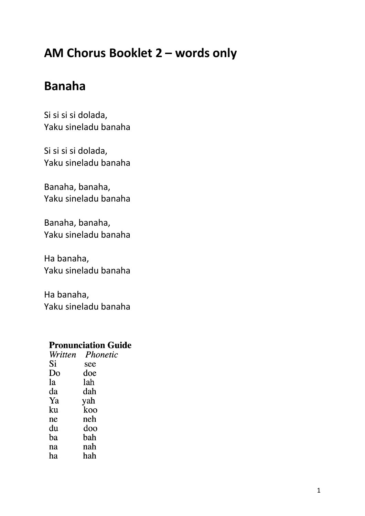# **AM Chorus Booklet 2 – words only**

## **Banaha**

Si si si si dolada, Yaku sineladu banaha

Si si si si dolada, Yaku sineladu banaha

Banaha, banaha, Yaku sineladu banaha

Banaha, banaha, Yaku sineladu banaha

Ha banaha, Yaku sineladu banaha

Ha banaha, Yaku sineladu banaha

#### **Pronunciation Guide**

| Written | <i>Phonetic</i> |
|---------|-----------------|
| Si      | see             |
| Do      | doe             |
| la      | lah             |
| da      | dah             |
| Ya      | yah             |
| ku      | koo             |
| ne      | neh             |
| du      | doo             |
| ba      | bah             |
| na      | nah             |
| ha      | hah             |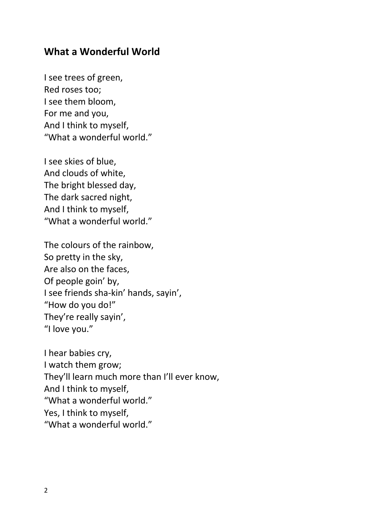#### **What a Wonderful World**

I see trees of green, Red roses too; I see them bloom, For me and you, And I think to myself, "What a wonderful world."

I see skies of blue, And clouds of white, The bright blessed day, The dark sacred night, And I think to myself, "What a wonderful world."

The colours of the rainbow, So pretty in the sky, Are also on the faces, Of people goin' by, I see friends sha-kin' hands, sayin', "How do you do!" They're really sayin', "I love you."

I hear babies cry, I watch them grow; They'll learn much more than I'll ever know, And I think to myself, "What a wonderful world." Yes, I think to myself, "What a wonderful world."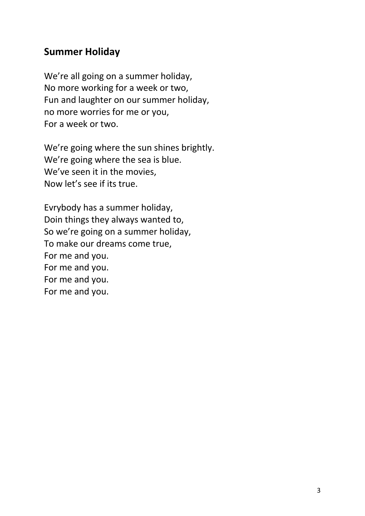### **Summer Holiday**

We're all going on a summer holiday, No more working for a week or two, Fun and laughter on our summer holiday, no more worries for me or you, For a week or two.

We're going where the sun shines brightly. We're going where the sea is blue. We've seen it in the movies, Now let's see if its true.

Evrybody has a summer holiday, Doin things they always wanted to, So we're going on a summer holiday, To make our dreams come true, For me and you. For me and you. For me and you. For me and you.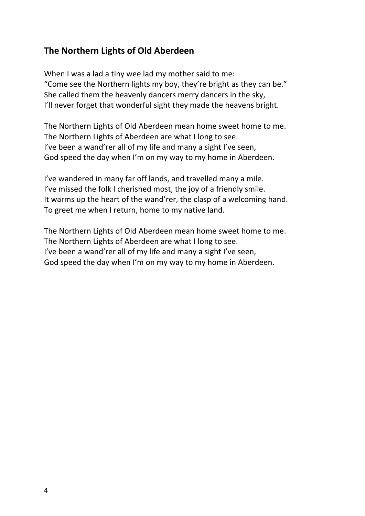#### **The Northern Lights of Old Aberdeen**

When I was a lad a tiny wee lad my mother said to me: "Come see the Northern lights my boy, they're bright as they can be." She called them the heavenly dancers merry dancers in the sky, I'll never forget that wonderful sight they made the heavens bright.

The Northern Lights of Old Aberdeen mean home sweet home to me. The Northern Lights of Aberdeen are what I long to see. I've been a wand'rer all of my life and many a sight I've seen, God speed the day when I'm on my way to my home in Aberdeen.

I've wandered in many far off lands, and travelled many a mile. I've missed the folk I cherished most, the joy of a friendly smile. It warms up the heart of the wand'rer, the clasp of a welcoming hand. To greet me when I return, home to my native land.

The Northern Lights of Old Aberdeen mean home sweet home to me. The Northern Lights of Aberdeen are what I long to see. I've been a wand'rer all of my life and many a sight I've seen, God speed the day when I'm on my way to my home in Aberdeen.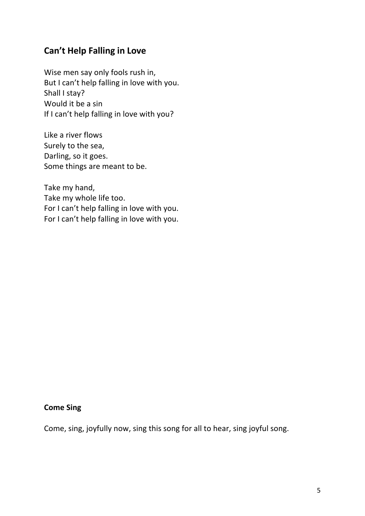#### **Can't Help Falling in Love**

Wise men say only fools rush in, But I can't help falling in love with you. Shall I stay? Would it be a sin If I can't help falling in love with you?

Like a river flows Surely to the sea, Darling, so it goes. Some things are meant to be.

Take my hand, Take my whole life too. For I can't help falling in love with you. For I can't help falling in love with you.

#### **Come Sing**

Come, sing, joyfully now, sing this song for all to hear, sing joyful song.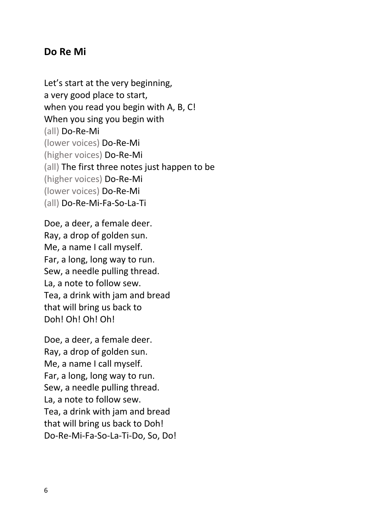#### **Do Re Mi**

Let's start at the very beginning, a very good place to start, when you read you begin with A, B, C! When you sing you begin with (all) Do-Re-Mi (lower voices) Do-Re-Mi (higher voices) Do-Re-Mi (all) The first three notes just happen to be (higher voices) Do-Re-Mi (lower voices) Do-Re-Mi (all) Do-Re-Mi-Fa-So-La-Ti

Doe, a deer, a female deer. Ray, a drop of golden sun. Me, a name I call myself. Far, a long, long way to run. Sew, a needle pulling thread. La, a note to follow sew. Tea, a drink with jam and bread that will bring us back to Doh! Oh! Oh! Oh!

Doe, a deer, a female deer. Ray, a drop of golden sun. Me, a name I call myself. Far, a long, long way to run. Sew, a needle pulling thread. La, a note to follow sew. Tea, a drink with jam and bread that will bring us back to Doh! Do-Re-Mi-Fa-So-La-Ti-Do, So, Do!